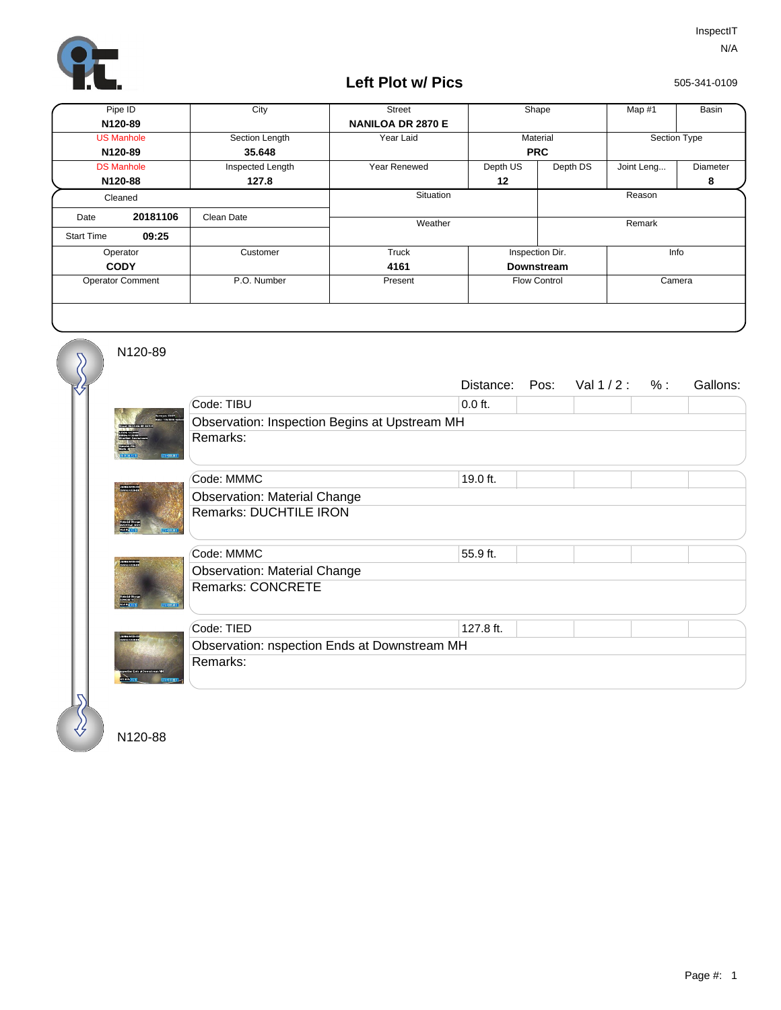

## **Left Plot w/ Pics**

505-341-0109

| Pipe ID                 |          | City             | <b>Street</b>            | Shape               |          | Map #1       | Basin    |
|-------------------------|----------|------------------|--------------------------|---------------------|----------|--------------|----------|
| N120-89                 |          |                  | <b>NANILOA DR 2870 E</b> |                     |          |              |          |
| <b>US Manhole</b>       |          | Section Length   | Year Laid                | Material            |          | Section Type |          |
| N120-89                 |          | 35.648           |                          | <b>PRC</b>          |          |              |          |
| <b>DS Manhole</b>       |          | Inspected Length | Year Renewed             | Depth US            | Depth DS | Joint Leng   | Diameter |
| N120-88                 |          | 127.8            |                          | 12                  |          |              | 8        |
| Cleaned                 |          |                  | Situation                |                     |          | Reason       |          |
| Date                    | 20181106 | Clean Date       | Weather                  |                     |          | Remark       |          |
| <b>Start Time</b>       | 09:25    |                  |                          |                     |          |              |          |
| Operator                |          | Customer         | Truck                    | Inspection Dir.     |          | Info         |          |
| <b>CODY</b>             |          |                  | 4161                     | <b>Downstream</b>   |          |              |          |
| <b>Operator Comment</b> |          | P.O. Number      | Present                  | <b>Flow Control</b> |          | Camera       |          |
|                         |          |                  |                          |                     |          |              |          |

N120-89

 $\overline{\mathcal{S}}$ 

|                                        |                                               | Distance: | Pos: | Val $1/2$ : | % : | Gallons: |  |  |  |
|----------------------------------------|-----------------------------------------------|-----------|------|-------------|-----|----------|--|--|--|
|                                        | Code: TIBU                                    | $0.0$ ft. |      |             |     |          |  |  |  |
| <b>THEFT COTY</b><br>dentil 4 2018 901 | Observation: Inspection Begins at Upstream MH |           |      |             |     |          |  |  |  |
| <b>REMARK</b>                          | Remarks:                                      |           |      |             |     |          |  |  |  |
| unumpurasi<br>Oshfan 15 Se             | Code: MMMC                                    | 19.0 ft.  |      |             |     |          |  |  |  |
|                                        | <b>Observation: Material Change</b>           |           |      |             |     |          |  |  |  |
| <b>Basic</b>                           | <b>Remarks: DUCHTILE IRON</b>                 |           |      |             |     |          |  |  |  |
|                                        | Code: MMMC                                    | 55.9 ft.  |      |             |     |          |  |  |  |
|                                        | <b>Observation: Material Change</b>           |           |      |             |     |          |  |  |  |
|                                        | <b>Remarks: CONCRETE</b>                      |           |      |             |     |          |  |  |  |
|                                        | Code: TIED                                    | 127.8 ft. |      |             |     |          |  |  |  |
| UNIVERSITYS                            | Observation: nspection Ends at Downstream MH  |           |      |             |     |          |  |  |  |
|                                        | Remarks:                                      |           |      |             |     |          |  |  |  |
|                                        |                                               |           |      |             |     |          |  |  |  |

N120-88

 $\bigotimes$